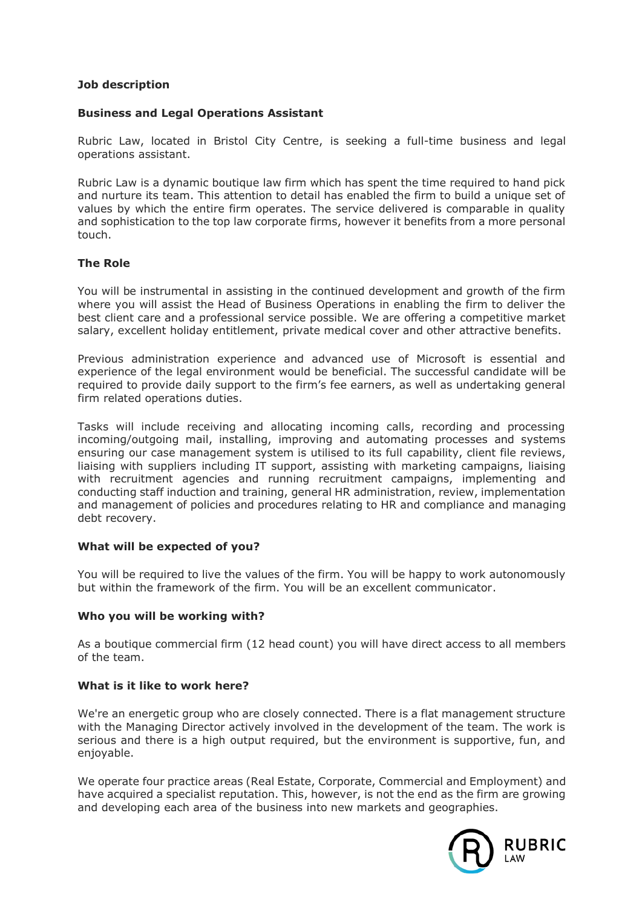# **Job description**

## **Business and Legal Operations Assistant**

Rubric Law, located in Bristol City Centre, is seeking a full-time business and legal operations assistant.

Rubric Law is a dynamic boutique law firm which has spent the time required to hand pick and nurture its team. This attention to detail has enabled the firm to build a unique set of values by which the entire firm operates. The service delivered is comparable in quality and sophistication to the top law corporate firms, however it benefits from a more personal touch.

# **The Role**

You will be instrumental in assisting in the continued development and growth of the firm where you will assist the Head of Business Operations in enabling the firm to deliver the best client care and a professional service possible. We are offering a competitive market salary, excellent holiday entitlement, private medical cover and other attractive benefits.

Previous administration experience and advanced use of Microsoft is essential and experience of the legal environment would be beneficial. The successful candidate will be required to provide daily support to the firm's fee earners, as well as undertaking general firm related operations duties.

Tasks will include receiving and allocating incoming calls, recording and processing incoming/outgoing mail, installing, improving and automating processes and systems ensuring our case management system is utilised to its full capability, client file reviews, liaising with suppliers including IT support, assisting with marketing campaigns, liaising with recruitment agencies and running recruitment campaigns, implementing and conducting staff induction and training, general HR administration, review, implementation and management of policies and procedures relating to HR and compliance and managing debt recovery.

### **What will be expected of you?**

You will be required to live the values of the firm. You will be happy to work autonomously but within the framework of the firm. You will be an excellent communicator.

### **Who you will be working with?**

As a boutique commercial firm (12 head count) you will have direct access to all members of the team.

### **What is it like to work here?**

We're an energetic group who are closely connected. There is a flat management structure with the Managing Director actively involved in the development of the team. The work is serious and there is a high output required, but the environment is supportive, fun, and enjoyable.

We operate four practice areas (Real Estate, Corporate, Commercial and Employment) and have acquired a specialist reputation. This, however, is not the end as the firm are growing and developing each area of the business into new markets and geographies.